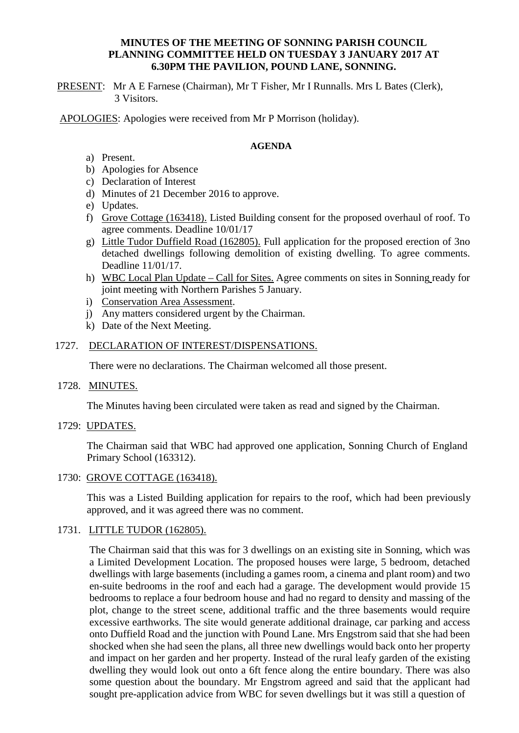### **MINUTES OF THE MEETING OF SONNING PARISH COUNCIL PLANNING COMMITTEE HELD ON TUESDAY 3 JANUARY 2017 AT 6.30PM THE PAVILION, POUND LANE, SONNING.**

PRESENT: Mr A E Farnese (Chairman), Mr T Fisher, Mr I Runnalls. Mrs L Bates (Clerk), 3 Visitors.

APOLOGIES: Apologies were received from Mr P Morrison (holiday).

### **AGENDA**

- a) Present.
- b) Apologies for Absence
- c) Declaration of Interest
- d) Minutes of 21 December 2016 to approve.
- e) Updates.
- f) Grove Cottage (163418). Listed Building consent for the proposed overhaul of roof. To agree comments. Deadline 10/01/17
- g) Little Tudor Duffield Road (162805). Full application for the proposed erection of 3no detached dwellings following demolition of existing dwelling. To agree comments. Deadline 11/01/17.
- h) WBC Local Plan Update Call for Sites. Agree comments on sites in Sonning ready for joint meeting with Northern Parishes 5 January.
- i) Conservation Area Assessment.
- j) Any matters considered urgent by the Chairman.
- k) Date of the Next Meeting.

### 1727. DECLARATION OF INTEREST/DISPENSATIONS.

There were no declarations. The Chairman welcomed all those present.

1728. MINUTES.

The Minutes having been circulated were taken as read and signed by the Chairman.

1729: UPDATES.

The Chairman said that WBC had approved one application, Sonning Church of England Primary School (163312).

1730: GROVE COTTAGE (163418).

This was a Listed Building application for repairs to the roof, which had been previously approved, and it was agreed there was no comment.

## 1731. LITTLE TUDOR (162805).

The Chairman said that this was for 3 dwellings on an existing site in Sonning, which was a Limited Development Location. The proposed houses were large, 5 bedroom, detached dwellings with large basements (including a games room, a cinema and plant room) and two en-suite bedrooms in the roof and each had a garage. The development would provide 15 bedrooms to replace a four bedroom house and had no regard to density and massing of the plot, change to the street scene, additional traffic and the three basements would require excessive earthworks. The site would generate additional drainage, car parking and access onto Duffield Road and the junction with Pound Lane. Mrs Engstrom said that she had been shocked when she had seen the plans, all three new dwellings would back onto her property and impact on her garden and her property. Instead of the rural leafy garden of the existing dwelling they would look out onto a 6ft fence along the entire boundary. There was also some question about the boundary. Mr Engstrom agreed and said that the applicant had sought pre-application advice from WBC for seven dwellings but it was still a question of